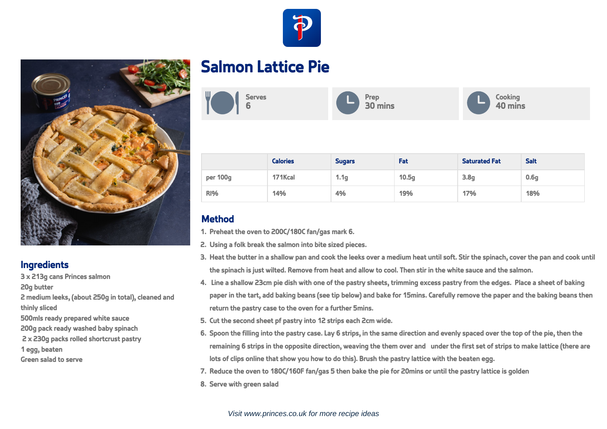



2 medium leeks, (about 250g in total), cleaned and

**Ingredients**

20g butter

thinly sliced

1 egg, beaten Green salad to serve

3 x 213g cans Princes salmon

500mls ready prepared white sauce 200g pack ready washed baby spinach 2 x 230g packs rolled shortcrust pastry

## **Salmon Lattice Pie**



|            | <b>Calories</b> | <b>Sugars</b>    | Fat               | <b>Saturated Fat</b> | <b>Salt</b>      |
|------------|-----------------|------------------|-------------------|----------------------|------------------|
| per 100g   | 171Kcal         | 1.1 <sub>g</sub> | 10.5 <sub>g</sub> | 3.8 <sub>g</sub>     | 0.6 <sub>g</sub> |
| <b>RI%</b> | 14%             | 4%               | 19%               | 17%                  | 18%              |

## **Method**

- 1. Preheat the oven to 200C/180C fan/gas mark 6.
- 2. Using a folk break the salmon into bite sized pieces.
- 3. Heat the butter in a shallow pan and cook the leeks over a medium heat until soft. Stir the spinach, cover the pan and cook until the spinach is just wilted. Remove from heat and allow to cool. Then stir in the white sauce and the salmon.
- 4. Line a shallow 23cm pie dish with one of the pastry sheets, trimming excess pastry from the edges. Place a sheet of baking paper in the tart, add baking beans (see tip below) and bake for 15mins. Carefully remove the paper and the baking beans then return the pastry case to the oven for a further 5mins.
- 5. Cut the second sheet pf pastry into 12 strips each 2cm wide.
- 6. Spoon the filling into the pastry case. Lay 6 strips, in the same direction and evenly spaced over the top of the pie, then the remaining 6 strips in the opposite direction, weaving the them over and under the first set of strips to make lattice (there are lots of clips online that show you how to do this). Brush the pastry lattice with the beaten egg.
- 7. Reduce the oven to 180C/160F fan/gas 5 then bake the pie for 20mins or until the pastry lattice is golden
- 8. Serve with green salad

## Visit www.princes.co.uk for more recipe ideas